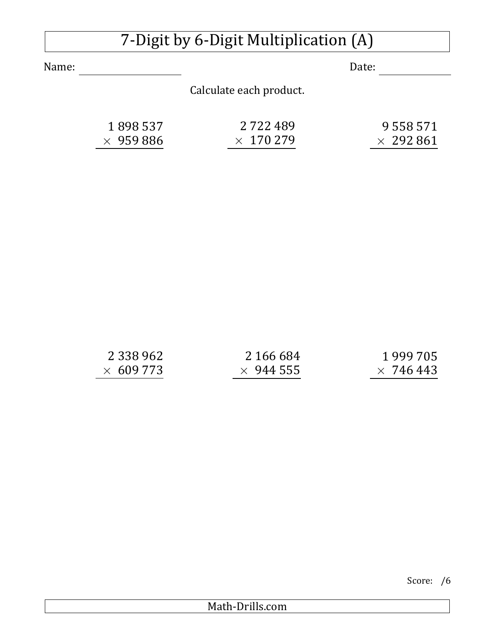## 7-Digit by 6-Digit Multiplication (A)

Name: Date:

Calculate each product.

| 1898537          | 2 7 2 2 4 8 9    | 9 5 5 8 5 7 1    |
|------------------|------------------|------------------|
| $\times$ 959 886 | $\times$ 170 279 | $\times$ 292 861 |

| 2 3 3 9 9 6 2   | 2 166 684        | 1999 705         |
|-----------------|------------------|------------------|
| $\times 609773$ | $\times$ 944 555 | $\times$ 746.443 |

| Score: | /6 |
|--------|----|
|--------|----|